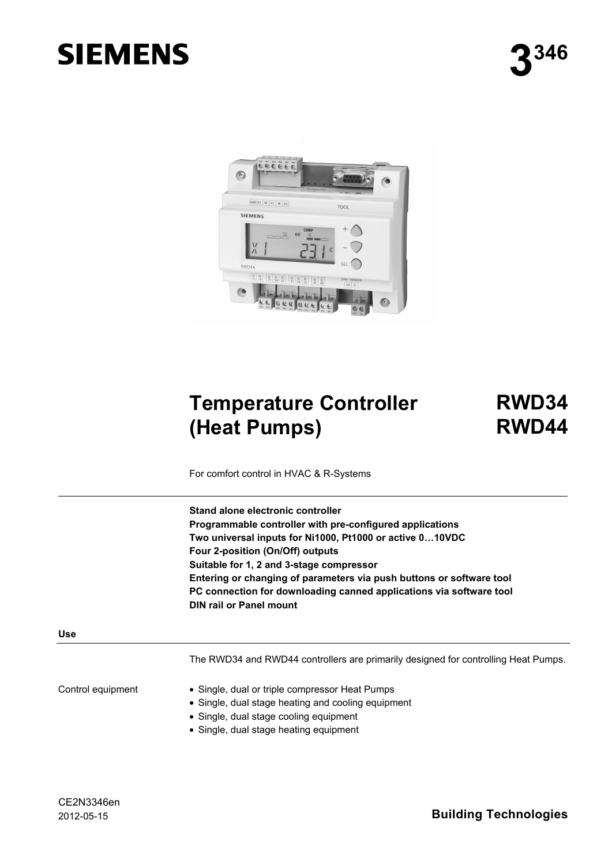# **SIEMENS**



# **Temperature Controller (Heat Pumps)**

**RWD34 RWD44**

For comfort control in HVAC & R-Systems

**Stand alone electronic controller Programmable controller with pre-configured applications Two universal inputs for Ni1000, Pt1000 or active 0…10VDC Four 2-position (On/Off) outputs Suitable for 1, 2 and 3-stage compressor Entering or changing of parameters via push buttons or software tool PC connection for downloading canned applications via software tool DIN rail or Panel mount** 

#### **Use**

The RWD34 and RWD44 controllers are primarily designed for controlling Heat Pumps.

Control equipment

- Single, dual or triple compressor Heat Pumps
- Single, dual stage heating and cooling equipment
- Single, dual stage cooling equipment
- Single, dual stage heating equipment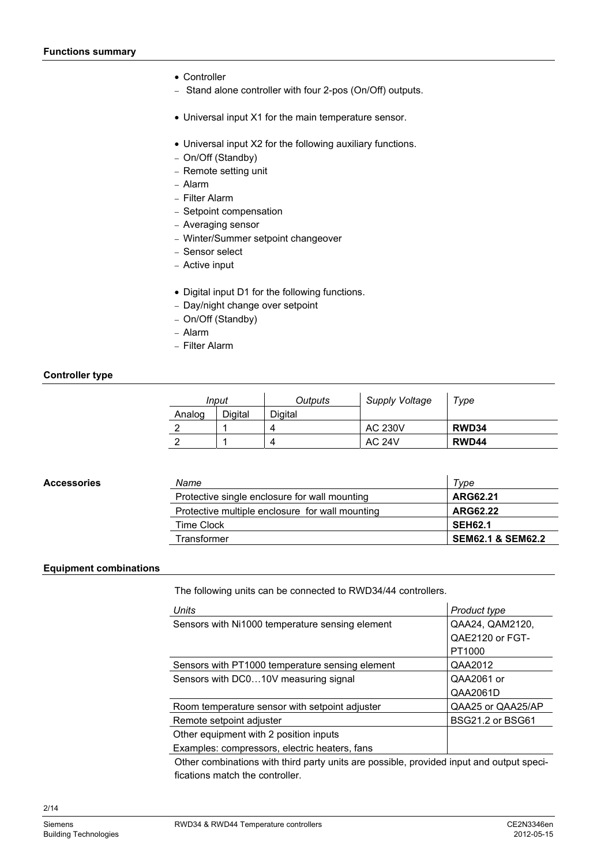- Controller
- − Stand alone controller with four 2-pos (On/Off) outputs.
- Universal input X1 for the main temperature sensor.
- Universal input X2 for the following auxiliary functions.
- − On/Off (Standby)
- − Remote setting unit
- − Alarm
- − Filter Alarm
- − Setpoint compensation
- − Averaging sensor
- − Winter/Summer setpoint changeover
- − Sensor select
- − Active input
- Digital input D1 for the following functions.
- − Day/night change over setpoint
- − On/Off (Standby)
- − Alarm
- − Filter Alarm

#### **Controller type**

| Input  |         | Outputs | Supply Voltage | Type  |
|--------|---------|---------|----------------|-------|
| Analog | Digital | Digital |                |       |
|        |         |         | <b>AC 230V</b> | RWD34 |
|        |         |         | <b>AC 24V</b>  | RWD44 |

#### **Accessories**

| Name                                            | Tvpe                         |
|-------------------------------------------------|------------------------------|
| Protective single enclosure for wall mounting   | ARG62.21                     |
| Protective multiple enclosure for wall mounting | ARG62.22                     |
| Time Clock                                      | <b>SEH62.1</b>               |
| Transformer                                     | <b>SEM62.1 &amp; SEM62.2</b> |
|                                                 |                              |

#### **Equipment combinations**

The following units can be connected to RWD34/44 controllers.

| <b>Units</b>                                    | Product type      |
|-------------------------------------------------|-------------------|
| Sensors with Ni1000 temperature sensing element | QAA24, QAM2120,   |
|                                                 | QAE2120 or FGT-   |
|                                                 | PT1000            |
| Sensors with PT1000 temperature sensing element | QAA2012           |
| Sensors with DC010V measuring signal            | QAA2061 or        |
|                                                 | QAA2061D          |
| Room temperature sensor with setpoint adjuster  | QAA25 or QAA25/AP |
| Remote setpoint adjuster                        | BSG21.2 or BSG61  |
| Other equipment with 2 position inputs          |                   |
| Examples: compressors, electric heaters, fans   |                   |
|                                                 |                   |

Other combinations with third party units are possible, provided input and output specifications match the controller.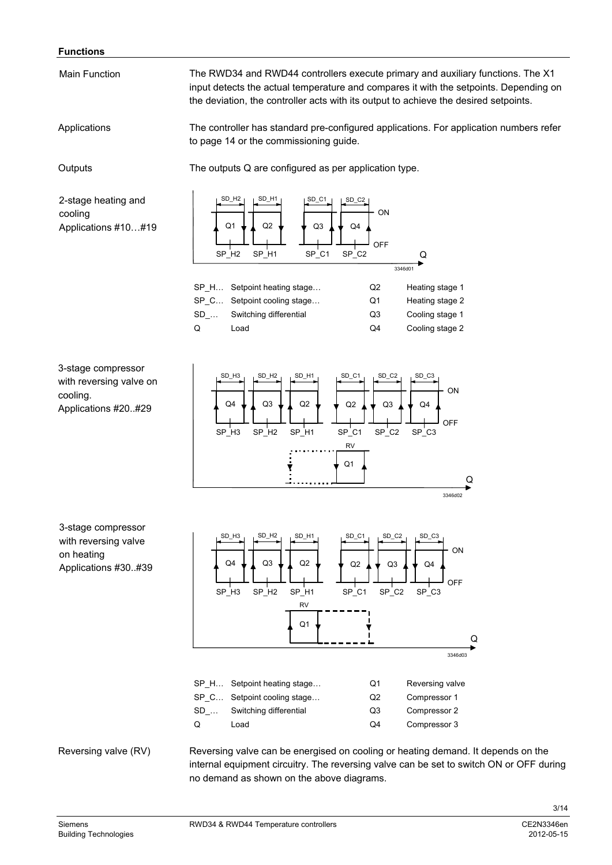#### **Functions**

Main Function

The RWD34 and RWD44 controllers execute primary and auxiliary functions. The X1 input detects the actual temperature and compares it with the setpoints. Depending on the deviation, the controller acts with its output to achieve the desired setpoints.

The controller has standard pre-configured applications. For application numbers refer to page 14 or the commissioning guide. Applications

**Outputs** 

The outputs Q are configured as per application type.

2-stage heating and cooling Applications #10…#19



3-stage compressor with reversing valve on cooling. Applications #20..#29



3-stage compressor with reversing valve on heating Applications #30..#39



Reversing valve (RV)

Reversing valve can be energised on cooling or heating demand. It depends on the internal equipment circuitry. The reversing valve can be set to switch ON or OFF during no demand as shown on the above diagrams.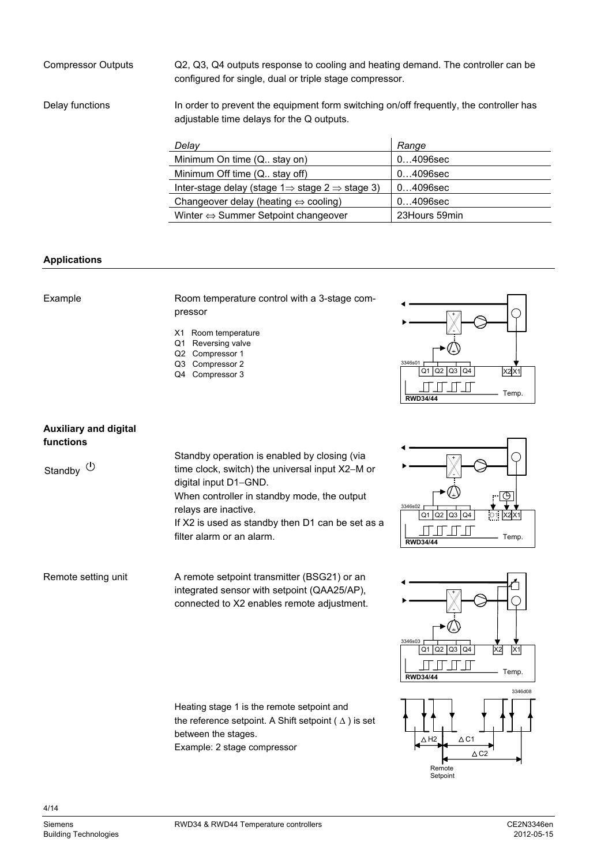Q2, Q3, Q4 outputs response to cooling and heating demand. The controller can be configured for single, dual or triple stage compressor. Compressor Outputs

Delay functions

In order to prevent the equipment form switching on/off frequently, the controller has adjustable time delays for the Q outputs.

| Delay                                                                   | Range         |
|-------------------------------------------------------------------------|---------------|
| Minimum On time (Q., stay on)                                           | $04096$ sec   |
| Minimum Off time (Q. stay off)                                          | $04096$ sec   |
| Inter-stage delay (stage $1 \Rightarrow$ stage $2 \Rightarrow$ stage 3) | $04096$ sec   |
| Changeover delay (heating $\Leftrightarrow$ cooling)                    | $04096$ sec   |
| Winter $\Leftrightarrow$ Summer Setpoint changeover                     | 23Hours 59min |

#### **Applications**

#### Example

Room temperature control with a 3-stage compressor

- X1 Room temperature
- Q1 Reversing valve
- Q2 Compressor 1
- Q3 Compressor 2
- Q4 Compressor 3



### **Auxiliary and digital functions**

Remote setting unit

Standby  $\bigcirc$ 

Standby operation is enabled by closing (via time clock, switch) the universal input X2−M or digital input D1−GND. When controller in standby mode, the output relays are inactive. If X2 is used as standby then D1 can be set as a

filter alarm or an alarm.

A remote setpoint transmitter (BSG21) or an integrated sensor with setpoint (QAA25/AP), connected to X2 enables remote adjustment.







4/14

Heating stage 1 is the remote setpoint and the reference setpoint. A Shift setpoint ( $\Delta$ ) is set

between the stages.

Example: 2 stage compressor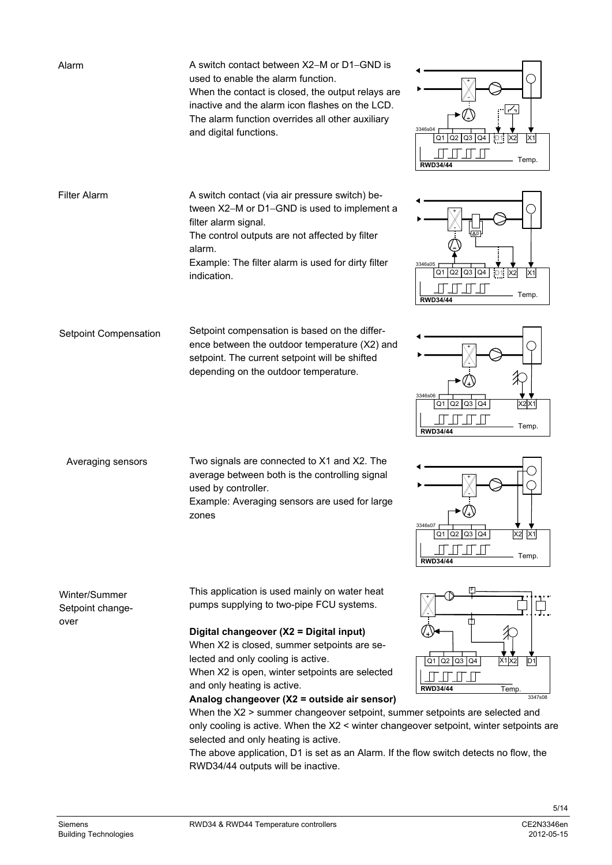| Alarm                                     | A switch contact between X2–M or D1–GND is<br>used to enable the alarm function.<br>When the contact is closed, the output relays are<br>inactive and the alarm icon flashes on the LCD.<br>The alarm function overrides all other auxiliary<br>and digital functions.                                                                                                                                                                                                                                                                                                                                                                                                                                    | ╱┑<br>3346s04<br>$Q1$ Q2 Q3 Q4<br>X <sub>1</sub><br>Temp.<br><b>RWD34/44</b>                                                                |
|-------------------------------------------|-----------------------------------------------------------------------------------------------------------------------------------------------------------------------------------------------------------------------------------------------------------------------------------------------------------------------------------------------------------------------------------------------------------------------------------------------------------------------------------------------------------------------------------------------------------------------------------------------------------------------------------------------------------------------------------------------------------|---------------------------------------------------------------------------------------------------------------------------------------------|
| <b>Filter Alarm</b>                       | A switch contact (via air pressure switch) be-<br>tween X2-M or D1-GND is used to implement a<br>filter alarm signal.<br>The control outputs are not affected by filter<br>alarm.<br>Example: The filter alarm is used for dirty filter<br>indication.                                                                                                                                                                                                                                                                                                                                                                                                                                                    | 3346s05<br>$\boxed{01}$ $\boxed{02}$ $\boxed{03}$ $\boxed{04}$ $\boxed{01}$<br>X <sub>1</sub><br>X <sub>2</sub><br>Temp.<br><b>RWD34/44</b> |
| Setpoint Compensation                     | Setpoint compensation is based on the differ-<br>ence between the outdoor temperature (X2) and<br>setpoint. The current setpoint will be shifted<br>depending on the outdoor temperature.                                                                                                                                                                                                                                                                                                                                                                                                                                                                                                                 | 3346s06<br>Q4<br>X2X1<br>$Q2$ $Q3$<br>Q1<br>Temp.<br><b>RWD34/44</b>                                                                        |
| Averaging sensors                         | Two signals are connected to X1 and X2. The<br>average between both is the controlling signal<br>used by controller.<br>Example: Averaging sensors are used for large<br>zones                                                                                                                                                                                                                                                                                                                                                                                                                                                                                                                            | 3346s07<br>$X2$ $X1$<br>Q1 Q2 Q3 Q4<br>Temp.<br><b>RWD34/44</b>                                                                             |
| Winter/Summer<br>Setpoint change-<br>over | This application is used mainly on water heat<br>pumps supplying to two-pipe FCU systems.<br>Digital changeover (X2 = Digital input)<br>When X2 is closed, summer setpoints are se-<br>lected and only cooling is active.<br>When X2 is open, winter setpoints are selected<br>and only heating is active.<br>Analog changeover (X2 = outside air sensor)<br>When the X2 > summer changeover setpoint, summer setpoints are selected and<br>only cooling is active. When the X2 < winter changeover setpoint, winter setpoints are<br>selected and only heating is active.<br>The above application, D1 is set as an Alarm. If the flow switch detects no flow, the<br>RWD34/44 outputs will be inactive. | $Q1$ Q2 Q3 Q4<br>X1X2<br>D <sub>1</sub><br><b>RWD34/44</b><br>Temp.<br>3347s08                                                              |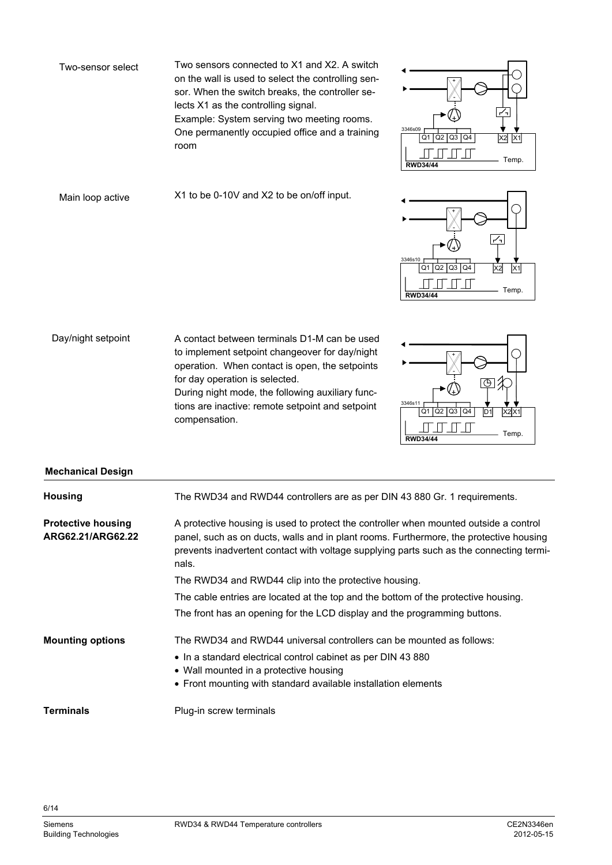Two sensors connected to X1 and X2. A switch on the wall is used to select the controlling sensor. When the switch breaks, the controller selects X1 as the controlling signal. Example: System serving two meeting rooms.

One permanently occupied office and a training room



Main loop active

Two-sensor select

X1 to be 0-10V and X2 to be on/off input.



A contact between terminals D1-M can be used to implement setpoint changeover for day/night operation. When contact is open, the setpoints for day operation is selected. During night mode, the following auxiliary functions are inactive: remote setpoint and setpoint Day/night setpoint

compensation.

3346s11 **RWD34** Q1 Q2 Q3 Q4 D1 X2X1 Temp. + - X2

# **Mechanical Design**

| <b>Housing</b>                                 | The RWD34 and RWD44 controllers are as per DIN 43 880 Gr. 1 requirements.                                                                                                                                                                                                           |
|------------------------------------------------|-------------------------------------------------------------------------------------------------------------------------------------------------------------------------------------------------------------------------------------------------------------------------------------|
| <b>Protective housing</b><br>ARG62.21/ARG62.22 | A protective housing is used to protect the controller when mounted outside a control<br>panel, such as on ducts, walls and in plant rooms. Furthermore, the protective housing<br>prevents inadvertent contact with voltage supplying parts such as the connecting termi-<br>nals. |
|                                                | The RWD34 and RWD44 clip into the protective housing.                                                                                                                                                                                                                               |
|                                                | The cable entries are located at the top and the bottom of the protective housing.                                                                                                                                                                                                  |
|                                                | The front has an opening for the LCD display and the programming buttons.                                                                                                                                                                                                           |
| <b>Mounting options</b>                        | The RWD34 and RWD44 universal controllers can be mounted as follows:                                                                                                                                                                                                                |
|                                                | • In a standard electrical control cabinet as per DIN 43 880<br>• Wall mounted in a protective housing<br>• Front mounting with standard available installation elements                                                                                                            |
| <b>Terminals</b>                               | Plug-in screw terminals                                                                                                                                                                                                                                                             |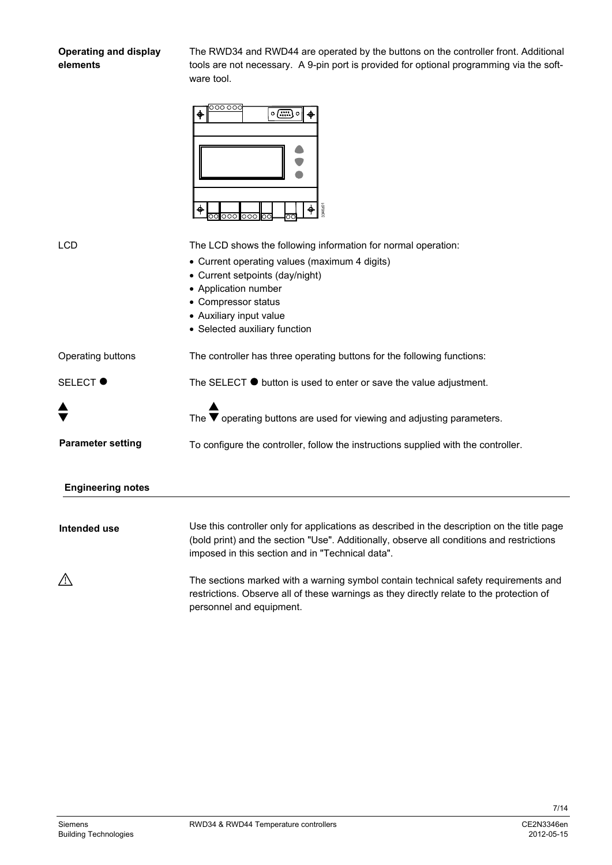# **Operating and display elements**

The RWD34 and RWD44 are operated by the buttons on the controller front. Additional tools are not necessary. A 9-pin port is provided for optional programming via the software tool.



| <b>LCD</b>               | The LCD shows the following information for normal operation:<br>• Current operating values (maximum 4 digits)<br>• Current setpoints (day/night)<br>• Application number<br>• Compressor status<br>• Auxiliary input value                  |
|--------------------------|----------------------------------------------------------------------------------------------------------------------------------------------------------------------------------------------------------------------------------------------|
|                          | • Selected auxiliary function                                                                                                                                                                                                                |
| Operating buttons        | The controller has three operating buttons for the following functions:                                                                                                                                                                      |
| <b>SELECT ●</b>          | The SELECT $\bullet$ button is used to enter or save the value adjustment.                                                                                                                                                                   |
|                          | The $\blacktriangledown$ operating buttons are used for viewing and adjusting parameters.                                                                                                                                                    |
| <b>Parameter setting</b> | To configure the controller, follow the instructions supplied with the controller.                                                                                                                                                           |
| <b>Engineering notes</b> |                                                                                                                                                                                                                                              |
|                          |                                                                                                                                                                                                                                              |
| Intended use             | Use this controller only for applications as described in the description on the title page<br>(bold print) and the section "Use". Additionally, observe all conditions and restrictions<br>imposed in this section and in "Technical data". |
|                          | The sections marked with a warning symbol contain technical safety requirements and<br>restrictions. Observe all of these warnings as they directly relate to the protection of<br>personnel and equipment.                                  |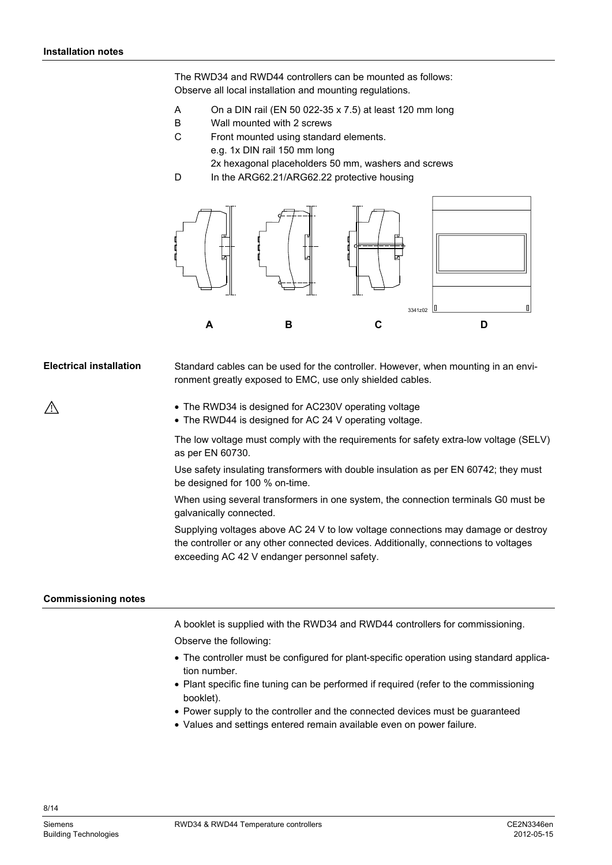The RWD34 and RWD44 controllers can be mounted as follows: Observe all local installation and mounting regulations.

- A On a DIN rail (EN 50 022-35 x 7.5) at least 120 mm long
- B Wall mounted with 2 screws
- C Front mounted using standard elements.
	- e.g. 1x DIN rail 150 mm long
	- 2x hexagonal placeholders 50 mm, washers and screws
- D In the ARG62.21/ARG62.22 protective housing



Standard cables can be used for the controller. However, when mounting in an environment greatly exposed to EMC, use only shielded cables. **Electrical installation** 

- The RWD34 is designed for AC230V operating voltage
- The RWD44 is designed for AC 24 V operating voltage.

The low voltage must comply with the requirements for safety extra-low voltage (SELV) as per EN 60730.

Use safety insulating transformers with double insulation as per EN 60742; they must be designed for 100 % on-time.

When using several transformers in one system, the connection terminals G0 must be galvanically connected.

Supplying voltages above AC 24 V to low voltage connections may damage or destroy the controller or any other connected devices. Additionally, connections to voltages exceeding AC 42 V endanger personnel safety.

#### **Commissioning notes**

A booklet is supplied with the RWD34 and RWD44 controllers for commissioning.

Observe the following:

- The controller must be configured for plant-specific operation using standard application number.
- Plant specific fine tuning can be performed if required (refer to the commissioning booklet).
- Power supply to the controller and the connected devices must be guaranteed
- Values and settings entered remain available even on power failure.

8/14

 $\bigwedge$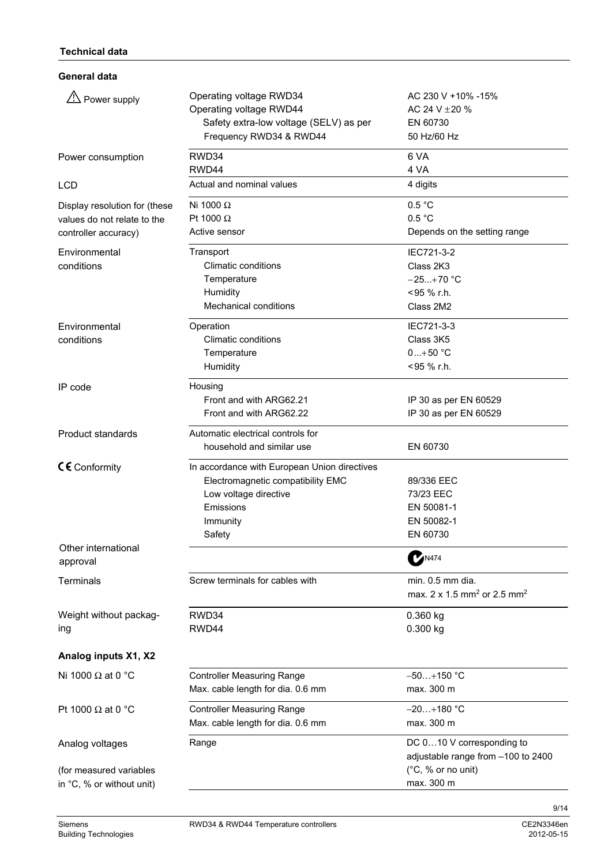**General data** 

| $\sqrt{2}$ Power supply                              | Operating voltage RWD34<br>Operating voltage RWD44<br>Safety extra-low voltage (SELV) as per<br>Frequency RWD34 & RWD44 | AC 230 V +10% -15%<br>AC 24 V $\pm$ 20 %<br>EN 60730<br>50 Hz/60 Hz     |
|------------------------------------------------------|-------------------------------------------------------------------------------------------------------------------------|-------------------------------------------------------------------------|
| Power consumption                                    | RWD34                                                                                                                   | 6 VA                                                                    |
|                                                      | RWD44                                                                                                                   | 4 VA                                                                    |
| <b>LCD</b>                                           | Actual and nominal values                                                                                               | 4 digits                                                                |
| Display resolution for (these                        | Ni 1000 $\Omega$                                                                                                        | 0.5 °C                                                                  |
| values do not relate to the                          | Pt 1000 $\Omega$                                                                                                        | 0.5 °C                                                                  |
| controller accuracy)                                 | Active sensor                                                                                                           | Depends on the setting range                                            |
| Environmental                                        | Transport                                                                                                               | IEC721-3-2                                                              |
| conditions                                           | <b>Climatic conditions</b>                                                                                              | Class 2K3                                                               |
|                                                      | Temperature                                                                                                             | $-25+70$ °C                                                             |
|                                                      | Humidity                                                                                                                | <95 % r.h.                                                              |
|                                                      | <b>Mechanical conditions</b>                                                                                            | Class 2M2                                                               |
| Environmental                                        | Operation                                                                                                               | IEC721-3-3                                                              |
| conditions                                           | <b>Climatic conditions</b>                                                                                              | Class 3K5                                                               |
|                                                      | Temperature                                                                                                             | $0+50 °C$                                                               |
|                                                      | Humidity                                                                                                                | <95 % r.h.                                                              |
| IP code                                              | Housing                                                                                                                 |                                                                         |
|                                                      | Front and with ARG62.21                                                                                                 | IP 30 as per EN 60529                                                   |
|                                                      | Front and with ARG62.22                                                                                                 | IP 30 as per EN 60529                                                   |
| <b>Product standards</b>                             | Automatic electrical controls for                                                                                       |                                                                         |
|                                                      | household and similar use                                                                                               | EN 60730                                                                |
| $CE$ Conformity                                      | In accordance with European Union directives                                                                            |                                                                         |
|                                                      | Electromagnetic compatibility EMC                                                                                       | 89/336 EEC                                                              |
|                                                      | Low voltage directive                                                                                                   | 73/23 EEC                                                               |
|                                                      | Emissions                                                                                                               | EN 50081-1                                                              |
|                                                      | Immunity                                                                                                                | EN 50082-1                                                              |
|                                                      | Safety                                                                                                                  | EN 60730                                                                |
| Other international<br>approval                      |                                                                                                                         | <b>MA74</b>                                                             |
| Terminals                                            | Screw terminals for cables with                                                                                         | min. 0.5 mm dia.<br>max. 2 x 1.5 mm <sup>2</sup> or 2.5 mm <sup>2</sup> |
| Weight without packag-                               | RWD34                                                                                                                   | $0.360$ kg                                                              |
| ing                                                  | RWD44                                                                                                                   | 0.300 kg                                                                |
| Analog inputs X1, X2                                 |                                                                                                                         |                                                                         |
| Ni 1000 $\Omega$ at 0 °C                             | <b>Controller Measuring Range</b>                                                                                       | $-50+150$ °C                                                            |
|                                                      | Max. cable length for dia. 0.6 mm                                                                                       | max. 300 m                                                              |
| Pt 1000 $\Omega$ at 0 °C                             | <b>Controller Measuring Range</b>                                                                                       | $-20+180$ °C                                                            |
|                                                      | Max. cable length for dia. 0.6 mm                                                                                       | max. 300 m                                                              |
| Analog voltages                                      | Range                                                                                                                   | DC 010 V corresponding to<br>adjustable range from -100 to 2400         |
| (for measured variables<br>in °C, % or without unit) |                                                                                                                         | (°C, % or no unit)<br>max. 300 m                                        |
|                                                      |                                                                                                                         |                                                                         |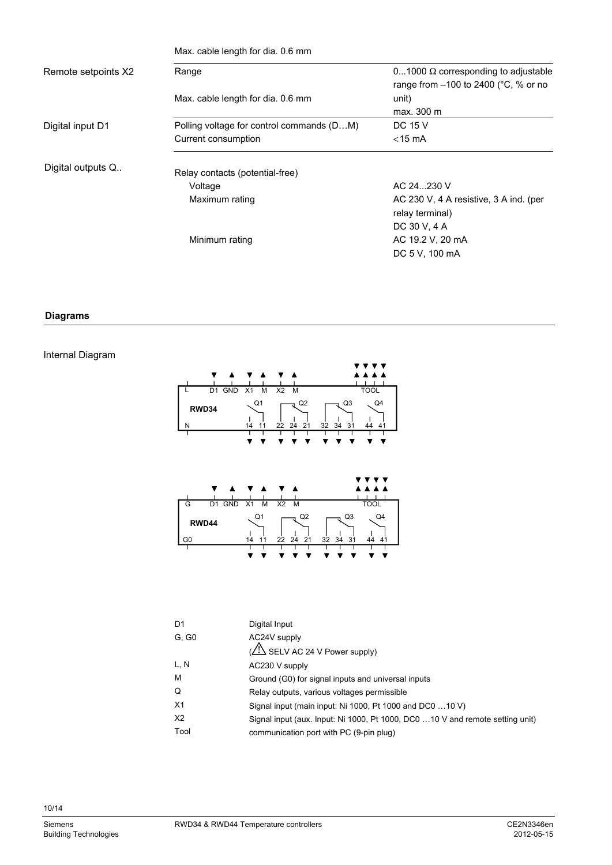|                     | Max. cable length for dia. 0.6 mm         |                                                                                                |  |
|---------------------|-------------------------------------------|------------------------------------------------------------------------------------------------|--|
| Remote setpoints X2 | Range                                     | 01000 $\Omega$ corresponding to adjustable<br>range from $-100$ to 2400 ( $\degree$ C, % or no |  |
|                     | Max. cable length for dia. 0.6 mm         | unit)                                                                                          |  |
|                     |                                           | max. 300 m                                                                                     |  |
| Digital input D1    | Polling voltage for control commands (DM) | DC 15 V                                                                                        |  |
|                     | Current consumption                       | $<$ 15 mA                                                                                      |  |
| Digital outputs Q   | Relay contacts (potential-free)           |                                                                                                |  |
|                     | Voltage                                   | AC 24  230 V                                                                                   |  |
|                     | Maximum rating                            | AC 230 V, 4 A resistive, 3 A ind. (per<br>relay terminal)                                      |  |
|                     |                                           | DC 30 V, 4 A                                                                                   |  |
|                     | Minimum rating                            | AC 19.2 V, 20 mA                                                                               |  |
|                     |                                           | DC 5 V, 100 mA                                                                                 |  |

## **Diagrams**

# Internal Diagram



| D <sub>1</sub> | Digital Input                                                                 |
|----------------|-------------------------------------------------------------------------------|
| G, G0          | AC24V supply                                                                  |
|                | (A) SELV AC 24 V Power supply)                                                |
| L, N           | AC230 V supply                                                                |
| м              | Ground (G0) for signal inputs and universal inputs                            |
| Q              | Relay outputs, various voltages permissible                                   |
| X1             | Signal input (main input: Ni 1000, Pt 1000 and DC0 10 V)                      |
| X <sub>2</sub> | Signal input (aux. Input: Ni 1000, Pt 1000, DC0 10 V and remote setting unit) |
| Tool           | communication port with PC (9-pin plug)                                       |
|                |                                                                               |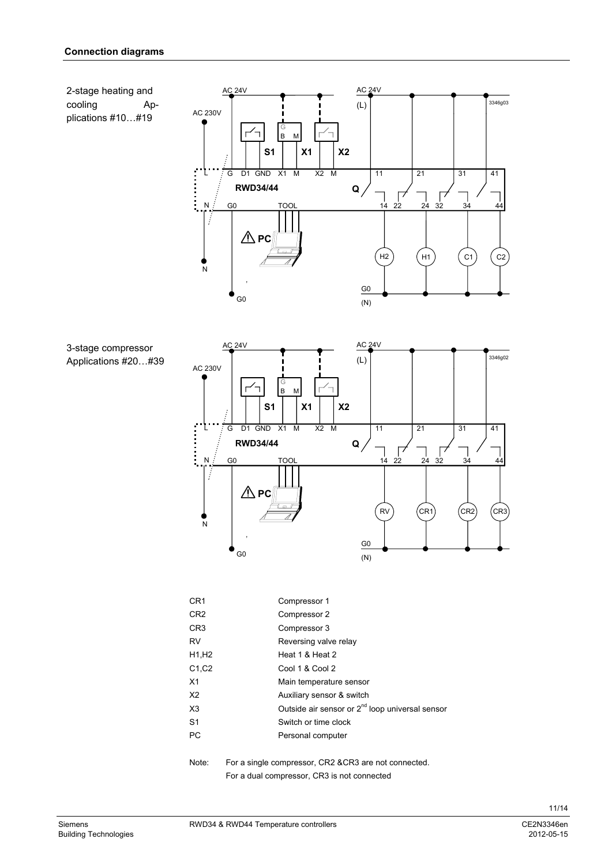

| 3-stage compressor |     |
|--------------------|-----|
| Annlications #20   | #39 |



| CR <sub>1</sub>                 | Compressor 1                                                |
|---------------------------------|-------------------------------------------------------------|
| CR <sub>2</sub>                 | Compressor 2                                                |
| CR <sub>3</sub>                 | Compressor 3                                                |
| RV                              | Reversing valve relay                                       |
| H <sub>1</sub> , H <sub>2</sub> | Heat 1 & Heat 2                                             |
| C <sub>1</sub> , C <sub>2</sub> | Cool 1 & Cool 2                                             |
| X1                              | Main temperature sensor                                     |
| X2                              | Auxiliary sensor & switch                                   |
| X <sub>3</sub>                  | Outside air sensor or 2 <sup>nd</sup> loop universal sensor |
| S <sub>1</sub>                  | Switch or time clock                                        |
| РC                              | Personal computer                                           |
|                                 |                                                             |

Note: For a single compressor, CR2 &CR3 are not connected. For a dual compressor, CR3 is not connected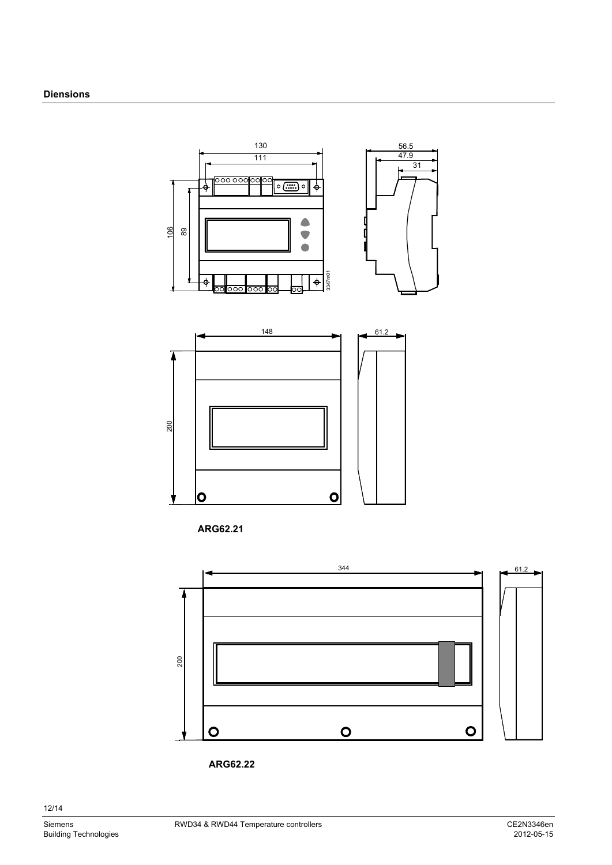

**ARG62.21** 





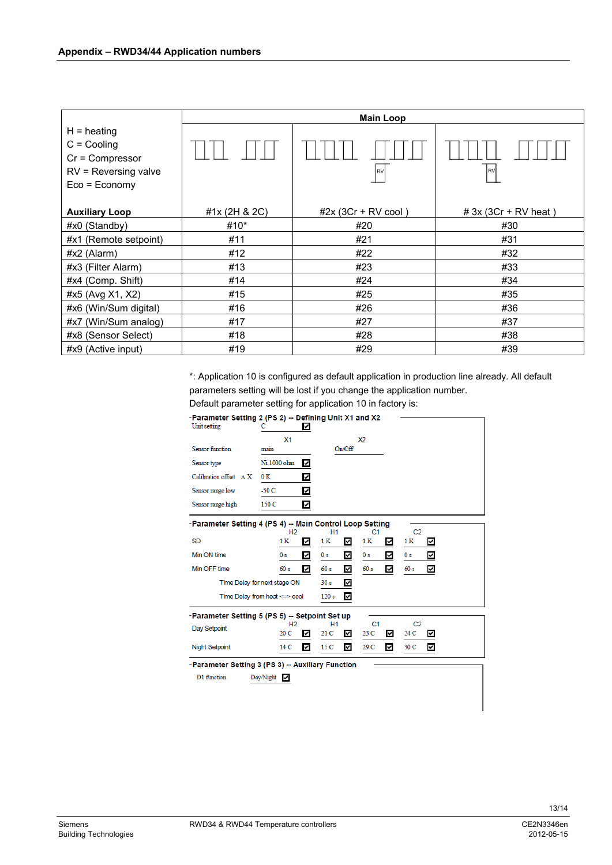|                                                                                                   | <b>Main Loop</b> |                       |                        |  |  |  |  |
|---------------------------------------------------------------------------------------------------|------------------|-----------------------|------------------------|--|--|--|--|
| $H =$ heating<br>$C =$ Cooling<br>$Cr = Compression$<br>$RV =$ Reversing valve<br>$Eco = Economy$ |                  | <b>RV</b>             | RV                     |  |  |  |  |
| <b>Auxiliary Loop</b>                                                                             | #1x (2H & 2C)    | $#2x (3Cr + RV cool)$ | $# 3x (3Cr + RV heat)$ |  |  |  |  |
| $#x0$ (Standby)                                                                                   | #10*             | #20                   | #30                    |  |  |  |  |
| #x1 (Remote setpoint)                                                                             | #11              | #21                   | #31                    |  |  |  |  |
| #x2 (Alarm)                                                                                       | #12              | #22                   | #32                    |  |  |  |  |
| #x3 (Filter Alarm)                                                                                | #13              | #23                   | #33                    |  |  |  |  |
| #x4 (Comp. Shift)                                                                                 | #14              | #24                   | #34                    |  |  |  |  |
| #x5 (Avg X1, X2)                                                                                  | #15              | #25                   | #35                    |  |  |  |  |
| #x6 (Win/Sum digital)                                                                             | #16              | #26                   | #36                    |  |  |  |  |
| #x7 (Win/Sum analog)                                                                              | #17              | #27                   | #37                    |  |  |  |  |
| #x8 (Sensor Select)                                                                               | #18              | #28                   | #38                    |  |  |  |  |
| #x9 (Active input)                                                                                | #19              | #29                   | #39                    |  |  |  |  |

\*: Application 10 is configured as default application in production line already. All default parameters setting will be lost if you change the application number.

Default parameter setting for application 10 in factory is:

| -Parameter Setting 2 (PS 2) -- Defining Unit X1 and X2<br>Unit setting                                                           | с<br>✓                                 |                        |                             |                 |  |  |  |
|----------------------------------------------------------------------------------------------------------------------------------|----------------------------------------|------------------------|-----------------------------|-----------------|--|--|--|
|                                                                                                                                  | X <sub>1</sub>                         |                        | X2                          |                 |  |  |  |
| Sensor function                                                                                                                  | main                                   | On/Off                 |                             |                 |  |  |  |
| Sensor type                                                                                                                      | Ni 1000 ohm<br>٨                       |                        |                             |                 |  |  |  |
| Calibration offset $\land$ X                                                                                                     | 0 K<br>Y                               |                        |                             |                 |  |  |  |
| Sensor range low                                                                                                                 | $-50C$<br>V                            |                        |                             |                 |  |  |  |
| Sensor range high                                                                                                                | 150 C<br>Y                             |                        |                             |                 |  |  |  |
| -Parameter Setting 4 (PS 4) -- Main Control Loop Setting<br>C <sub>2</sub><br>H <sub>2</sub><br>H <sub>1</sub><br>C <sub>1</sub> |                                        |                        |                             |                 |  |  |  |
| <b>SD</b>                                                                                                                        | 1 K<br>V                               | 1 K<br>☑               | 1 K<br>⊻                    | 1 K<br>✔        |  |  |  |
| Min ON time                                                                                                                      | 0 s<br>N                               | 0 s<br>⊻               | ⊻<br>0 s                    | ✓<br>0 s        |  |  |  |
| Min OFF time                                                                                                                     | 60 s<br>✓                              | 60 s<br>✓              | 60 s<br>⊽                   | 60 s<br>✓       |  |  |  |
| Time Delay for next stage ON                                                                                                     |                                        | 30 <sub>s</sub><br>☑   |                             |                 |  |  |  |
| Time Delay from heat <=> cool                                                                                                    |                                        | ✓<br>120 <sub>s</sub>  |                             |                 |  |  |  |
| -Parameter Setting 5 (PS 5) -- Setpoint Set up                                                                                   |                                        |                        |                             |                 |  |  |  |
| Day Setpoint                                                                                                                     | H <sub>2</sub><br>20 C<br>$\checkmark$ | <b>H1</b><br>21 C<br>⊻ | C <sub>1</sub><br>23 C<br>◡ | C2<br>24 C<br>Y |  |  |  |
| <b>Night Setpoint</b>                                                                                                            | ♦<br>14 C                              | ☑<br>15 <sub>C</sub>   | ⊽<br>29 C                   | 30 C<br>V       |  |  |  |
| -Parameter Setting 3 (PS 3) -- Auxiliary Function                                                                                |                                        |                        |                             |                 |  |  |  |
| D1 function                                                                                                                      | Day/Night $\vee$                       |                        |                             |                 |  |  |  |
|                                                                                                                                  |                                        |                        |                             |                 |  |  |  |
|                                                                                                                                  |                                        |                        |                             |                 |  |  |  |
|                                                                                                                                  |                                        |                        |                             |                 |  |  |  |